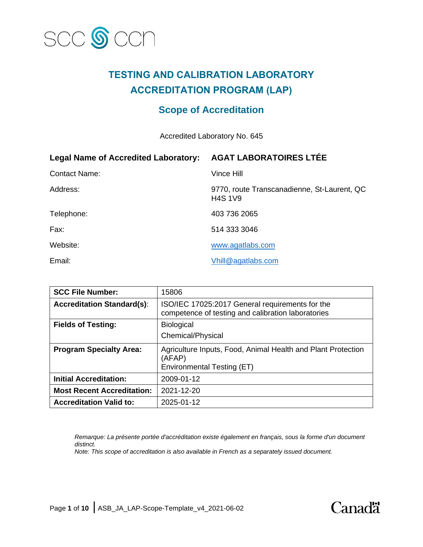

## **TESTING AND CALIBRATION LABORATORY ACCREDITATION PROGRAM (LAP)**

## **Scope of Accreditation**

Accredited Laboratory No. 645

| <b>Legal Name of Accredited Laboratory:</b> | <b>AGAT LABORATOIRES LTÉE</b>                                 |
|---------------------------------------------|---------------------------------------------------------------|
| <b>Contact Name:</b>                        | Vince Hill                                                    |
| Address:                                    | 9770, route Transcanadienne, St-Laurent, QC<br><b>H4S 1V9</b> |
| Telephone:                                  | 403 736 2065                                                  |
| Fax:                                        | 514 333 3046                                                  |
| Website:                                    | www.agatlabs.com                                              |
| Email:                                      | Vhill@agatlabs.com                                            |

| <b>SCC File Number:</b>           | 15806                                                                                                 |
|-----------------------------------|-------------------------------------------------------------------------------------------------------|
| <b>Accreditation Standard(s):</b> | ISO/IEC 17025:2017 General requirements for the<br>competence of testing and calibration laboratories |
| <b>Fields of Testing:</b>         | <b>Biological</b>                                                                                     |
|                                   | Chemical/Physical                                                                                     |
| <b>Program Specialty Area:</b>    | Agriculture Inputs, Food, Animal Health and Plant Protection<br>(AFAP)<br>Environmental Testing (ET)  |
| <b>Initial Accreditation:</b>     | 2009-01-12                                                                                            |
|                                   |                                                                                                       |
| <b>Most Recent Accreditation:</b> | 2021-12-20                                                                                            |
| <b>Accreditation Valid to:</b>    | 2025-01-12                                                                                            |

*Remarque: La présente portée d'accréditation existe également en français, sous la forme d'un document distinct.*

*Note: This scope of accreditation is also available in French as a separately issued document.*

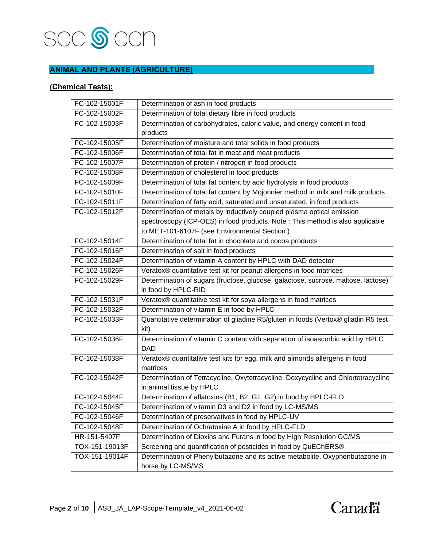

### **ANIMAL AND PLANTS (AGRICULTURE)**

#### **(Chemical Tests):**

| FC-102-15001F  | Determination of ash in food products                                              |
|----------------|------------------------------------------------------------------------------------|
| FC-102-15002F  | Determination of total dietary fibre in food products                              |
| FC-102-15003F  | Determination of carbohydrates, caloric value, and energy content in food          |
|                | products                                                                           |
| FC-102-15005F  | Determination of moisture and total solids in food products                        |
| FC-102-15006F  | Determination of total fat in meat and meat products                               |
| FC-102-15007F  | Determination of protein / nitrogen in food products                               |
| FC-102-15008F  | Determination of cholesterol in food products                                      |
| FC-102-15009F  | Determination of total fat content by acid hydrolysis in food products             |
| FC-102-15010F  | Determination of total fat content by Mojonnier method in milk and milk products   |
| FC-102-15011F  | Determination of fatty acid, saturated and unsaturated, in food products           |
| FC-102-15012F  | Determination of metals by inductively coupled plasma optical emission             |
|                | spectroscopy (ICP-OES) in food products. Note : This method is also applicable     |
|                | to MET-101-6107F (see Environmental Section.)                                      |
| FC-102-15014F  | Determination of total fat in chocolate and cocoa products                         |
| FC-102-15016F  | Determination of salt in food products                                             |
| FC-102-15024F  | Determination of vitamin A content by HPLC with DAD detector                       |
| FC-102-15026F  | Veratox® quantitative test kit for peanut allergens in food matrices               |
| FC-102-15029F  | Determination of sugars (fructose, glucose, galactose, sucrose, maltose, lactose)  |
|                | in food by HPLC-RID                                                                |
| FC-102-15031F  | Veratox® quantitative test kit for soya allergens in food matrices                 |
| FC-102-15032F  | Determination of vitamin E in food by HPLC                                         |
| FC-102-15033F  | Quantitative determination of gliadine R5/gluten in foods (Vertox® gliadin R5 test |
|                | kit)                                                                               |
| FC-102-15036F  | Determination of vitamin C content with separation of isoascorbic acid by HPLC     |
|                | <b>DAD</b>                                                                         |
| FC-102-15038F  | Veratox® quantitative test kits for egg, milk and almonds allergens in food        |
|                | matrices                                                                           |
| FC-102-15042F  | Determination of Tetracycline, Oxytetracycline, Doxycycline and Chlortetracycline  |
|                | in animal tissue by HPLC                                                           |
| FC-102-15044F  | Determination of aflatoxins (B1, B2, G1, G2) in food by HPLC-FLD                   |
| FC-102-15045F  | Determination of vitamin D3 and D2 in food by LC-MS/MS                             |
| FC-102-15046F  | Determination of preservatives in food by HPLC-UV                                  |
| FC-102-15048F  | Determination of Ochratoxine A in food by HPLC-FLD                                 |
| HR-151-5407F   | Determination of Dioxins and Furans in food by High Resolution GC/MS               |
| TOX-151-19013F | Screening and quantification of pesticides in food by QuEChERS®                    |
| TOX-151-19014F | Determination of Phenylbutazone and its active metabolite, Oxyphenbutazone in      |
|                | horse by LC-MS/MS                                                                  |

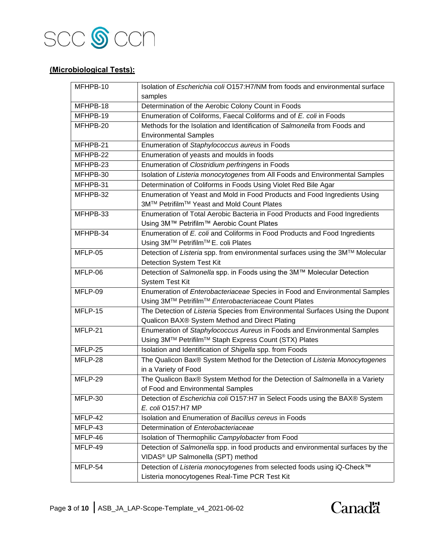

#### **(Microbiological Tests):**

| MFHPB-10  | Isolation of Escherichia coli O157:H7/NM from foods and environmental surface   |
|-----------|---------------------------------------------------------------------------------|
|           | samples                                                                         |
| MFHPB-18  | Determination of the Aerobic Colony Count in Foods                              |
| MFHPB-19  | Enumeration of Coliforms, Faecal Coliforms and of E. coli in Foods              |
| MFHPB-20  | Methods for the Isolation and Identification of Salmonella from Foods and       |
|           | <b>Environmental Samples</b>                                                    |
| MFHPB-21  | Enumeration of Staphylococcus aureus in Foods                                   |
| MFHPB-22  | Enumeration of yeasts and moulds in foods                                       |
| MFHPB-23  | Enumeration of Clostridium perfringens in Foods                                 |
| MFHPB-30  | Isolation of Listeria monocytogenes from All Foods and Environmental Samples    |
| MFHPB-31  | Determination of Coliforms in Foods Using Violet Red Bile Agar                  |
| MFHPB-32  | Enumeration of Yeast and Mold in Food Products and Food Ingredients Using       |
|           | 3M™ Petrifilm™ Yeast and Mold Count Plates                                      |
| MFHPB-33  | Enumeration of Total Aerobic Bacteria in Food Products and Food Ingredients     |
|           | Using 3M™ Petrifilm™ Aerobic Count Plates                                       |
| MFHPB-34  | Enumeration of E. coli and Coliforms in Food Products and Food Ingredients      |
|           | Using 3M™ Petrifilm™E. coli Plates                                              |
| MFLP-05   | Detection of Listeria spp. from environmental surfaces using the 3M™ Molecular  |
|           | Detection System Test Kit                                                       |
| $MFLP-06$ | Detection of Salmonella spp. in Foods using the 3M™ Molecular Detection         |
|           | <b>System Test Kit</b>                                                          |
| MFLP-09   | Enumeration of Enterobacteriaceae Species in Food and Environmental Samples     |
|           | Using 3M™ Petrifilm™ Enterobacteriaceae Count Plates                            |
| MFLP-15   | The Detection of Listeria Species from Environmental Surfaces Using the Dupont  |
|           | Qualicon BAX® System Method and Direct Plating                                  |
| MFLP-21   | Enumeration of Staphylococcus Aureus in Foods and Environmental Samples         |
|           | Using 3M™ Petrifilm™ Staph Express Count (STX) Plates                           |
| MFLP-25   | Isolation and Identification of Shigella spp. from Foods                        |
| MFLP-28   | The Qualicon Bax® System Method for the Detection of Listeria Monocytogenes     |
|           | in a Variety of Food                                                            |
| MFLP-29   | The Qualicon Bax® System Method for the Detection of Salmonella in a Variety    |
|           | of Food and Environmental Samples                                               |
| MFLP-30   | Detection of Escherichia coli O157:H7 in Select Foods using the BAX® System     |
|           | E. coli O157:H7 MP                                                              |
| MFLP-42   | Isolation and Enumeration of Bacillus cereus in Foods                           |
| MFLP-43   | Determination of Enterobacteriaceae                                             |
| MFLP-46   | Isolation of Thermophilic Campylobacter from Food                               |
| MFLP-49   | Detection of Salmonella spp. in food products and environmental surfaces by the |
|           | VIDAS <sup>®</sup> UP Salmonella (SPT) method                                   |
| MFLP-54   | Detection of Listeria monocytogenes from selected foods using iQ-Check™         |
|           | Listeria monocytogenes Real-Time PCR Test Kit                                   |

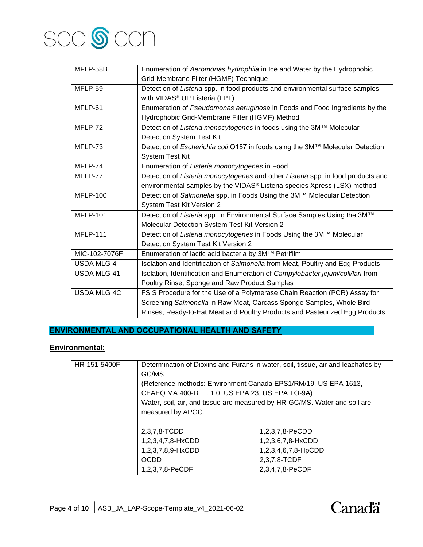

| MFLP-58B           | Enumeration of Aeromonas hydrophila in Ice and Water by the Hydrophobic<br>Grid-Membrane Filter (HGMF) Technique |
|--------------------|------------------------------------------------------------------------------------------------------------------|
| MFLP-59            | Detection of Listeria spp. in food products and environmental surface samples                                    |
|                    | with VIDAS <sup>®</sup> UP Listeria (LPT)                                                                        |
| MFLP-61            | Enumeration of Pseudomonas aeruginosa in Foods and Food Ingredients by the                                       |
|                    | Hydrophobic Grid-Membrane Filter (HGMF) Method                                                                   |
| MFLP-72            | Detection of Listeria monocytogenes in foods using the 3M™ Molecular                                             |
|                    | <b>Detection System Test Kit</b>                                                                                 |
| MFLP-73            | Detection of Escherichia coli O157 in foods using the 3M™ Molecular Detection                                    |
|                    | <b>System Test Kit</b>                                                                                           |
| MFLP-74            | Enumeration of Listeria monocytogenes in Food                                                                    |
| MFLP-77            | Detection of Listeria monocytogenes and other Listeria spp. in food products and                                 |
|                    | environmental samples by the VIDAS® Listeria species Xpress (LSX) method                                         |
| <b>MFLP-100</b>    | Detection of Salmonella spp. in Foods Using the 3M™ Molecular Detection                                          |
|                    | System Test Kit Version 2                                                                                        |
| <b>MFLP-101</b>    | Detection of Listeria spp. in Environmental Surface Samples Using the 3M™                                        |
|                    | Molecular Detection System Test Kit Version 2                                                                    |
| <b>MFLP-111</b>    | Detection of Listeria monocytogenes in Foods Using the 3M™ Molecular                                             |
|                    | Detection System Test Kit Version 2                                                                              |
| MIC-102-7076F      | Enumeration of lactic acid bacteria by 3M™ Petrifilm                                                             |
| <b>USDA MLG 4</b>  | Isolation and Identification of Salmonella from Meat, Poultry and Egg Products                                   |
| <b>USDA MLG 41</b> | Isolation, Identification and Enumeration of Campylobacter jejuni/coli/lari from                                 |
|                    | Poultry Rinse, Sponge and Raw Product Samples                                                                    |
| <b>USDA MLG 4C</b> | FSIS Procedure for the Use of a Polymerase Chain Reaction (PCR) Assay for                                        |
|                    | Screening Salmonella in Raw Meat, Carcass Sponge Samples, Whole Bird                                             |
|                    | Rinses, Ready-to-Eat Meat and Poultry Products and Pasteurized Egg Products                                      |

#### **ENVIRONMENTAL AND OCCUPATIONAL HEALTH AND SAFETY**

## **Environmental:**

| HR-151-5400F | GC/MS                                                                                                               | Determination of Dioxins and Furans in water, soil, tissue, air and leachates by |
|--------------|---------------------------------------------------------------------------------------------------------------------|----------------------------------------------------------------------------------|
|              | (Reference methods: Environment Canada EPS1/RM/19, US EPA 1613,<br>CEAEQ MA 400-D. F. 1.0, US EPA 23, US EPA TO-9A) |                                                                                  |
|              | measured by APGC.                                                                                                   | Water, soil, air, and tissue are measured by HR-GC/MS. Water and soil are        |
|              | 2,3,7,8-TCDD                                                                                                        | 1,2,3,7,8-PeCDD                                                                  |
|              | 1,2,3,4,7,8-HxCDD                                                                                                   | 1,2,3,6,7,8-HxCDD                                                                |
|              | 1,2,3,7,8,9-HxCDD                                                                                                   | 1,2,3,4,6,7,8-HpCDD                                                              |
|              | <b>OCDD</b>                                                                                                         | 2,3,7,8-TCDF                                                                     |
|              | 1,2,3,7,8-PeCDF                                                                                                     | 2,3,4,7,8-PeCDF                                                                  |

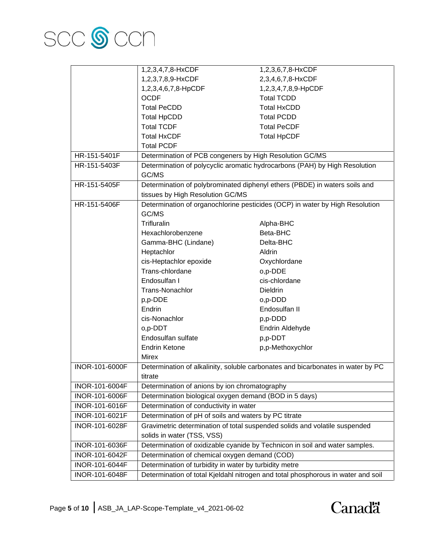

|                | 1,2,3,4,7,8-HxCDF                                                                | 1,2,3,6,7,8-HxCDF                                                               |
|----------------|----------------------------------------------------------------------------------|---------------------------------------------------------------------------------|
|                | 1,2,3,7,8,9-HxCDF                                                                | 2,3,4,6,7,8-HxCDF                                                               |
|                | 1,2,3,4,6,7,8-HpCDF                                                              | 1,2,3,4,7,8,9-HpCDF                                                             |
|                | <b>OCDF</b>                                                                      | <b>Total TCDD</b>                                                               |
|                | <b>Total PeCDD</b>                                                               | <b>Total HxCDD</b>                                                              |
|                | <b>Total HpCDD</b>                                                               | <b>Total PCDD</b>                                                               |
|                | <b>Total TCDF</b>                                                                | <b>Total PeCDF</b>                                                              |
|                | <b>Total HxCDF</b>                                                               | <b>Total HpCDF</b>                                                              |
|                | <b>Total PCDF</b>                                                                |                                                                                 |
| HR-151-5401F   | Determination of PCB congeners by High Resolution GC/MS                          |                                                                                 |
| HR-151-5403F   |                                                                                  | Determination of polycyclic aromatic hydrocarbons (PAH) by High Resolution      |
|                | GC/MS                                                                            |                                                                                 |
| HR-151-5405F   |                                                                                  | Determination of polybrominated diphenyl ethers (PBDE) in waters soils and      |
|                | tissues by High Resolution GC/MS                                                 |                                                                                 |
| HR-151-5406F   | Determination of organochlorine pesticides (OCP) in water by High Resolution     |                                                                                 |
|                | GC/MS                                                                            |                                                                                 |
|                | Trifluralin                                                                      | Alpha-BHC                                                                       |
|                | Hexachlorobenzene                                                                | Beta-BHC                                                                        |
|                | Gamma-BHC (Lindane)                                                              | Delta-BHC                                                                       |
|                | Heptachlor                                                                       | Aldrin                                                                          |
|                | cis-Heptachlor epoxide                                                           | Oxychlordane                                                                    |
|                | Trans-chlordane                                                                  | o,p-DDE                                                                         |
|                | Endosulfan I                                                                     | cis-chlordane                                                                   |
|                | Trans-Nonachlor                                                                  | <b>Dieldrin</b>                                                                 |
|                | p,p-DDE                                                                          | o,p-DDD                                                                         |
|                | Endrin                                                                           | Endosulfan II                                                                   |
|                | cis-Nonachlor                                                                    | p,p-DDD                                                                         |
|                | o,p-DDT                                                                          | Endrin Aldehyde                                                                 |
|                | Endosulfan sulfate                                                               | p,p-DDT                                                                         |
|                | <b>Endrin Ketone</b>                                                             | p,p-Methoxychlor                                                                |
|                | <b>Mirex</b>                                                                     |                                                                                 |
| INOR-101-6000F |                                                                                  | Determination of alkalinity, soluble carbonates and bicarbonates in water by PC |
|                | titrate                                                                          |                                                                                 |
| INOR-101-6004F | Determination of anions by ion chromatography                                    |                                                                                 |
| INOR-101-6006F | Determination biological oxygen demand (BOD in 5 days)                           |                                                                                 |
| INOR-101-6016F | Determination of conductivity in water                                           |                                                                                 |
| INOR-101-6021F | Determination of pH of soils and waters by PC titrate                            |                                                                                 |
| INOR-101-6028F |                                                                                  | Gravimetric determination of total suspended solids and volatile suspended      |
|                | solids in water (TSS, VSS)                                                       |                                                                                 |
| INOR-101-6036F |                                                                                  | Determination of oxidizable cyanide by Technicon in soil and water samples.     |
| INOR-101-6042F | Determination of chemical oxygen demand (COD)                                    |                                                                                 |
| INOR-101-6044F | Determination of turbidity in water by turbidity metre                           |                                                                                 |
| INOR-101-6048F | Determination of total Kjeldahl nitrogen and total phosphorous in water and soil |                                                                                 |

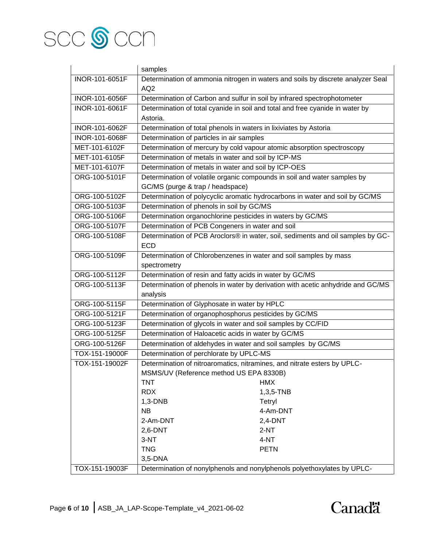

|                | samples                                                                  |                                                                                 |
|----------------|--------------------------------------------------------------------------|---------------------------------------------------------------------------------|
| INOR-101-6051F |                                                                          | Determination of ammonia nitrogen in waters and soils by discrete analyzer Seal |
|                | AQ <sub>2</sub>                                                          |                                                                                 |
| INOR-101-6056F | Determination of Carbon and sulfur in soil by infrared spectrophotometer |                                                                                 |
| INOR-101-6061F |                                                                          | Determination of total cyanide in soil and total and free cyanide in water by   |
|                | Astoria.                                                                 |                                                                                 |
| INOR-101-6062F | Determination of total phenols in waters in lixiviates by Astoria        |                                                                                 |
| INOR-101-6068F | Determination of particles in air samples                                |                                                                                 |
| MET-101-6102F  | Determination of mercury by cold vapour atomic absorption spectroscopy   |                                                                                 |
| MET-101-6105F  | Determination of metals in water and soil by ICP-MS                      |                                                                                 |
| MET-101-6107F  | Determination of metals in water and soil by ICP-OES                     |                                                                                 |
| ORG-100-5101F  | Determination of volatile organic compounds in soil and water samples by |                                                                                 |
|                | GC/MS (purge & trap / headspace)                                         |                                                                                 |
| ORG-100-5102F  |                                                                          | Determination of polycyclic aromatic hydrocarbons in water and soil by GC/MS    |
| ORG-100-5103F  | Determination of phenols in soil by GC/MS                                |                                                                                 |
| ORG-100-5106F  | Determination organochlorine pesticides in waters by GC/MS               |                                                                                 |
| ORG-100-5107F  | Determination of PCB Congeners in water and soil                         |                                                                                 |
| ORG-100-5108F  |                                                                          | Determination of PCB Aroclors® in water, soil, sediments and oil samples by GC- |
|                | <b>ECD</b>                                                               |                                                                                 |
| ORG-100-5109F  | Determination of Chlorobenzenes in water and soil samples by mass        |                                                                                 |
|                | spectrometry                                                             |                                                                                 |
| ORG-100-5112F  | Determination of resin and fatty acids in water by GC/MS                 |                                                                                 |
| ORG-100-5113F  |                                                                          | Determination of phenols in water by derivation with acetic anhydride and GC/MS |
|                | analysis                                                                 |                                                                                 |
| ORG-100-5115F  | Determination of Glyphosate in water by HPLC                             |                                                                                 |
| ORG-100-5121F  | Determination of organophosphorus pesticides by GC/MS                    |                                                                                 |
| ORG-100-5123F  | Determination of glycols in water and soil samples by CC/FID             |                                                                                 |
| ORG-100-5125F  | Determination of Haloacetic acids in water by GC/MS                      |                                                                                 |
| ORG-100-5126F  | Determination of aldehydes in water and soil samples by GC/MS            |                                                                                 |
| TOX-151-19000F | Determination of perchlorate by UPLC-MS                                  |                                                                                 |
| TOX-151-19002F | Determination of nitroaromatics, nitramines, and nitrate esters by UPLC- |                                                                                 |
|                | MSMS/UV (Reference method US EPA 8330B)                                  |                                                                                 |
|                | <b>TNT</b>                                                               | <b>HMX</b>                                                                      |
|                | <b>RDX</b>                                                               | 1,3,5-TNB                                                                       |
|                | $1,3-DNB$                                                                | Tetryl                                                                          |
|                | <b>NB</b>                                                                | 4-Am-DNT                                                                        |
|                | 2-Am-DNT                                                                 | $2,4$ -DNT                                                                      |
|                | $2,6-DNT$                                                                | $2-NT$                                                                          |
|                | 3-NT                                                                     | 4-NT                                                                            |
|                | <b>TNG</b>                                                               | <b>PETN</b>                                                                     |
|                | 3,5-DNA                                                                  |                                                                                 |
| TOX-151-19003F |                                                                          | Determination of nonylphenols and nonylphenols polyethoxylates by UPLC-         |

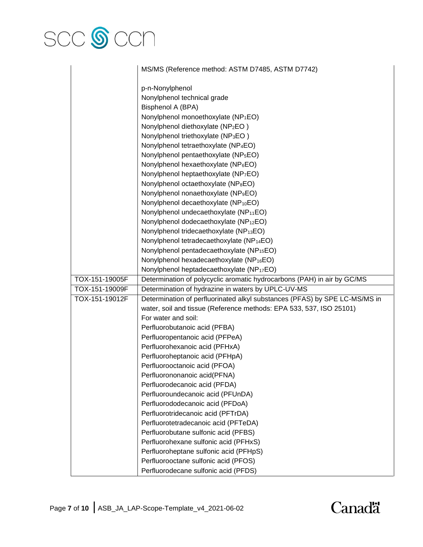# SCC **S** CCN

|                | MS/MS (Reference method: ASTM D7485, ASTM D7742)                           |
|----------------|----------------------------------------------------------------------------|
|                | p-n-Nonylphenol                                                            |
|                | Nonylphenol technical grade                                                |
|                | Bisphenol A (BPA)                                                          |
|                | Nonylphenol monoethoxylate (NP <sub>1</sub> EO)                            |
|                | Nonylphenol diethoxylate (NP <sub>2</sub> EO)                              |
|                | Nonylphenol triethoxylate (NP <sub>3</sub> EO)                             |
|                | Nonylphenol tetraethoxylate (NP <sub>4</sub> EO)                           |
|                | Nonylphenol pentaethoxylate (NP <sub>5</sub> EO)                           |
|                | Nonylphenol hexaethoxylate (NP <sub>6</sub> EO)                            |
|                | Nonylphenol heptaethoxylate (NP <sub>7</sub> EO)                           |
|                | Nonylphenol octaethoxylate (NP <sub>8</sub> EO)                            |
|                | Nonylphenol nonaethoxylate (NP <sub>9</sub> EO)                            |
|                | Nonylphenol decaethoxylate (NP <sub>10</sub> EO)                           |
|                | Nonylphenol undecaethoxylate (NP <sub>11</sub> EO)                         |
|                | Nonylphenol dodecaethoxylate (NP <sub>12</sub> EO)                         |
|                | Nonylphenol tridecaethoxylate (NP <sub>13</sub> EO)                        |
|                | Nonylphenol tetradecaethoxylate (NP <sub>14</sub> EO)                      |
|                | Nonylphenol pentadecaethoxylate (NP <sub>15</sub> EO)                      |
|                | Nonylphenol hexadecaethoxylate (NP <sub>16</sub> EO)                       |
|                | Nonylphenol heptadecaethoxylate (NP <sub>17</sub> EO)                      |
| TOX-151-19005F | Determination of polycyclic aromatic hydrocarbons (PAH) in air by GC/MS    |
| TOX-151-19009F | Determination of hydrazine in waters by UPLC-UV-MS                         |
| TOX-151-19012F | Determination of perfluorinated alkyl substances (PFAS) by SPE LC-MS/MS in |
|                | water, soil and tissue (Reference methods: EPA 533, 537, ISO 25101)        |
|                | For water and soil:                                                        |
|                | Perfluorobutanoic acid (PFBA)                                              |
|                | Perfluoropentanoic acid (PFPeA)                                            |
|                | Perfluorohexanoic acid (PFHxA)                                             |
|                |                                                                            |
|                | Perfluoroheptanoic acid (PFHpA)                                            |
|                | Perfluorooctanoic acid (PFOA)<br>Perfluorononanoic acid(PFNA)              |
|                | Perfluorodecanoic acid (PFDA)                                              |
|                |                                                                            |
|                | Perfluoroundecanoic acid (PFUnDA)                                          |
|                | Perfluorododecanoic acid (PFDoA)                                           |
|                | Perfluorotridecanoic acid (PFTrDA)                                         |
|                | Perfluorotetradecanoic acid (PFTeDA)                                       |
|                | Perfluorobutane sulfonic acid (PFBS)                                       |
|                | Perfluorohexane sulfonic acid (PFHxS)                                      |
|                | Perfluoroheptane sulfonic acid (PFHpS)                                     |
|                | Perfluorooctane sulfonic acid (PFOS)                                       |
|                | Perfluorodecane sulfonic acid (PFDS)                                       |

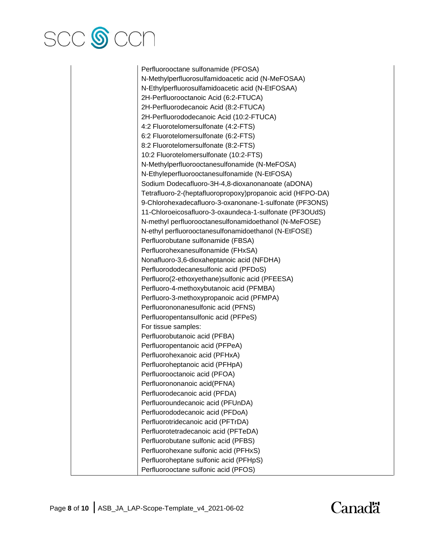

Perfluorooctane sulfonamide (PFOSA) N-Methylperfluorosulfamidoacetic acid (N-MeFOSAA) N-Ethylperfluorosulfamidoacetic acid (N-EtFOSAA) 2H-Perfluorooctanoic Acid (6:2-FTUCA) 2H-Perfluorodecanoic Acid (8:2-FTUCA) 2H-Perfluorododecanoic Acid (10:2-FTUCA) 4:2 Fluorotelomersulfonate (4:2-FTS) 6:2 Fluorotelomersulfonate (6:2-FTS) 8:2 Fluorotelomersulfonate (8:2-FTS) 10:2 Fluorotelomersulfonate (10:2-FTS) N-Methylperfluorooctanesulfonamide (N-MeFOSA) N-Ethyleperfluorooctanesulfonamide (N-EtFOSA) Sodium Dodecafluoro-3H-4,8-dioxanonanoate (aDONA) Tetrafluoro-2-(heptafluoropropoxy)propanoic acid (HFPO-DA) 9-Chlorohexadecafluoro-3-oxanonane-1-sulfonate (PF3ONS) 11-Chloroeicosafluoro-3-oxaundeca-1-sulfonate (PF3OUdS) N-methyl perfluorooctanesulfonamidoethanol (N-MeFOSE) N-ethyl perfluorooctanesulfonamidoethanol (N-EtFOSE) Perfluorobutane sulfonamide (FBSA) Perfluorohexanesulfonamide (FHxSA) Nonafluoro-3,6-dioxaheptanoic acid (NFDHA) Perfluorododecanesulfonic acid (PFDoS) Perfluoro(2-ethoxyethane)sulfonic acid (PFEESA) Perfluoro-4-methoxybutanoic acid (PFMBA) Perfluoro-3-methoxypropanoic acid (PFMPA) Perfluorononanesulfonic acid (PFNS) Perfluoropentansulfonic acid (PFPeS) For tissue samples: Perfluorobutanoic acid (PFBA) Perfluoropentanoic acid (PFPeA) Perfluorohexanoic acid (PFHxA) Perfluoroheptanoic acid (PFHpA) Perfluorooctanoic acid (PFOA) Perfluorononanoic acid(PFNA) Perfluorodecanoic acid (PFDA) Perfluoroundecanoic acid (PFUnDA) Perfluorododecanoic acid (PFDoA) Perfluorotridecanoic acid (PFTrDA) Perfluorotetradecanoic acid (PFTeDA) Perfluorobutane sulfonic acid (PFBS) Perfluorohexane sulfonic acid (PFHxS) Perfluoroheptane sulfonic acid (PFHpS) Perfluorooctane sulfonic acid (PFOS)

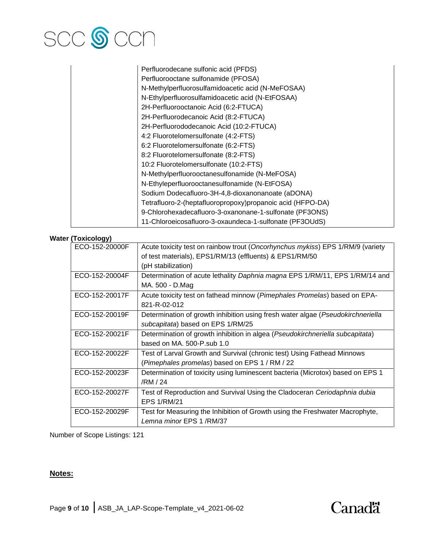

| Perfluorodecane sulfonic acid (PFDS)                       |
|------------------------------------------------------------|
| Perfluorooctane sulfonamide (PFOSA)                        |
| N-Methylperfluorosulfamidoacetic acid (N-MeFOSAA)          |
| N-Ethylperfluorosulfamidoacetic acid (N-EtFOSAA)           |
| 2H-Perfluorooctanoic Acid (6:2-FTUCA)                      |
| 2H-Perfluorodecanoic Acid (8:2-FTUCA)                      |
| 2H-Perfluorododecanoic Acid (10:2-FTUCA)                   |
| 4:2 Fluorotelomersulfonate (4:2-FTS)                       |
| 6:2 Fluorotelomersulfonate (6:2-FTS)                       |
| 8:2 Fluorotelomersulfonate (8:2-FTS)                       |
| 10:2 Fluorotelomersulfonate (10:2-FTS)                     |
| N-Methylperfluorooctanesulfonamide (N-MeFOSA)              |
| N-Ethyleperfluorooctanesulfonamide (N-EtFOSA)              |
| Sodium Dodecafluoro-3H-4,8-dioxanonanoate (aDONA)          |
| Tetrafluoro-2-(heptafluoropropoxy)propanoic acid (HFPO-DA) |
| 9-Chlorohexadecafluoro-3-oxanonane-1-sulfonate (PF3ONS)    |
| 11-Chloroeicosafluoro-3-oxaundeca-1-sulfonate (PF3OUdS)    |

#### **Water (Toxicology)**

| ECO-152-20000F | Acute toxicity test on rainbow trout (Oncorhynchus mykiss) EPS 1/RM/9 (variety  |
|----------------|---------------------------------------------------------------------------------|
|                | of test materials), EPS1/RM/13 (effluents) & EPS1/RM/50                         |
|                | (pH stabilization)                                                              |
| ECO-152-20004F | Determination of acute lethality Daphnia magna EPS 1/RM/11, EPS 1/RM/14 and     |
|                | MA. 500 - D.Mag                                                                 |
| ECO-152-20017F | Acute toxicity test on fathead minnow (Pimephales Promelas) based on EPA-       |
|                | 821-R-02-012                                                                    |
| ECO-152-20019F | Determination of growth inhibition using fresh water algae (Pseudokirchneriella |
|                | subcapitata) based on EPS 1/RM/25                                               |
| ECO-152-20021F | Determination of growth inhibition in algea (Pseudokirchneriella subcapitata)   |
|                | based on MA. 500-P.sub 1.0                                                      |
| ECO-152-20022F | Test of Larval Growth and Survival (chronic test) Using Fathead Minnows         |
|                | (Pimephales promelas) based on EPS 1 / RM / 22                                  |
| ECO-152-20023F | Determination of toxicity using luminescent bacteria (Microtox) based on EPS 1  |
|                | /RM / 24                                                                        |
| ECO-152-20027F | Test of Reproduction and Survival Using the Cladoceran Ceriodaphnia dubia       |
|                | <b>EPS 1/RM/21</b>                                                              |
| ECO-152-20029F | Test for Measuring the Inhibition of Growth using the Freshwater Macrophyte,    |
|                | Lemna minor EPS 1 /RM/37                                                        |

Number of Scope Listings: 121

#### **Notes:**